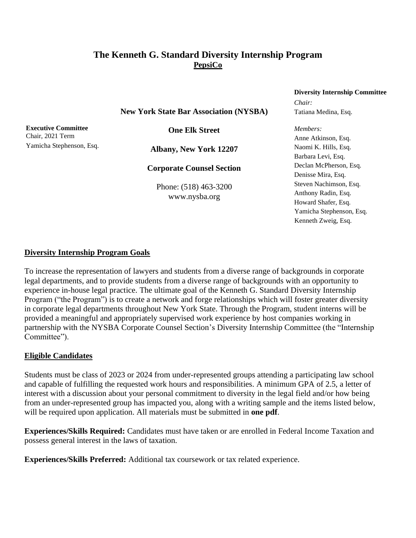# **The Kenneth G. Standard Diversity Internship Program PepsiCo**

**New York State Bar Association (NYSBA)**

**Executive Committee** Chair, 2021 Term Yamicha Stephenson, Esq.

**One Elk Street**

**Albany, New York 12207**

**Corporate Counsel Section**

Phone: (518) 463-3200 www.nysba.org

#### **Diversity Internship Committee**

*Chair:* Tatiana Medina, Esq.

*Members:* Anne Atkinson, Esq. Naomi K. Hills, Esq. Barbara Levi, Esq. Declan McPherson, Esq. Denisse Mira, Esq. Steven Nachimson, Esq. Anthony Radin, Esq. Howard Shafer, Esq. Yamicha Stephenson, Esq. Kenneth Zweig, Esq.

#### **Diversity Internship Program Goals**

To increase the representation of lawyers and students from a diverse range of backgrounds in corporate legal departments, and to provide students from a diverse range of backgrounds with an opportunity to experience in-house legal practice. The ultimate goal of the Kenneth G. Standard Diversity Internship Program ("the Program") is to create a network and forge relationships which will foster greater diversity in corporate legal departments throughout New York State. Through the Program, student interns will be provided a meaningful and appropriately supervised work experience by host companies working in partnership with the NYSBA Corporate Counsel Section's Diversity Internship Committee (the "Internship Committee").

#### **Eligible Candidates**

Students must be class of 2023 or 2024 from under-represented groups attending a participating law school and capable of fulfilling the requested work hours and responsibilities. A minimum GPA of 2.5, a letter of interest with a discussion about your personal commitment to diversity in the legal field and/or how being from an under-represented group has impacted you, along with a writing sample and the items listed below, will be required upon application. All materials must be submitted in **one pdf**.

**Experiences/Skills Required:** Candidates must have taken or are enrolled in Federal Income Taxation and possess general interest in the laws of taxation.

**Experiences/Skills Preferred:** Additional tax coursework or tax related experience.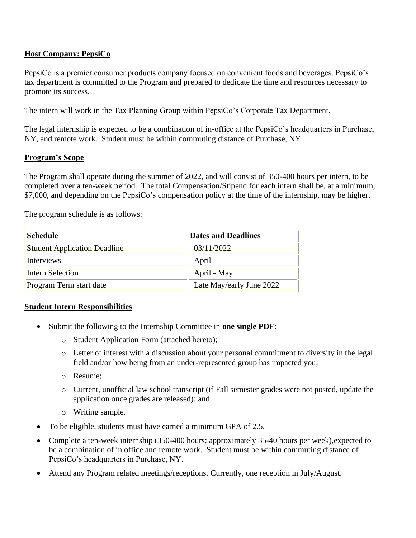# **Host Company: PepsiCo**

PepsiCo is a premier consumer products company focused on convenient foods and beverages. PepsiCo's tax department is committed to the Program and prepared to dedicate the time and resources necessary to promote its success.

The intern will work in the Tax Planning Group within PepsiCo's Corporate Tax Department.

The legal internship is expected to be a combination of in-office at the PepsiCo's headquarters in Purchase, NY, and remote work. Student must be within commuting distance of Purchase, NY.

#### **Program's Scope**

The Program shall operate during the summer of 2022, and will consist of 350-400 hours per intern, to be completed over a ten-week period. The total Compensation/Stipend for each intern shall be, at a minimum, \$7,000, and depending on the PepsiCo's compensation policy at the time of the internship, may be higher.

The program schedule is as follows:

| Schedule                            | <b>Dates and Deadlines</b> |
|-------------------------------------|----------------------------|
| <b>Student Application Deadline</b> | 03/11/2022                 |
| Interviews                          | April                      |
| Intern Selection                    | April - May                |
| Program Term start date             | Late May/early June 2022   |

# **Student Intern Responsibilities**

- Submit the following to the Internship Committee in **one single PDF**:
	- o Student Application Form (attached hereto);
	- o Letter of interest with a discussion about your personal commitment to diversity in the legal field and/or how being from an under-represented group has impacted you;
	- o Resume;
	- o Current, unofficial law school transcript (if Fall semester grades were not posted, update the application once grades are released); and
	- o Writing sample.
- To be eligible, students must have earned a minimum GPA of 2.5.
- Complete a ten-week internship (350-400 hours; approximately 35-40 hours per week),expected to be a combination of in office and remote work. Student must be within commuting distance of PepsiCo's headquarters in Purchase, NY.
- Attend any Program related meetings/receptions. Currently, one reception in July/August.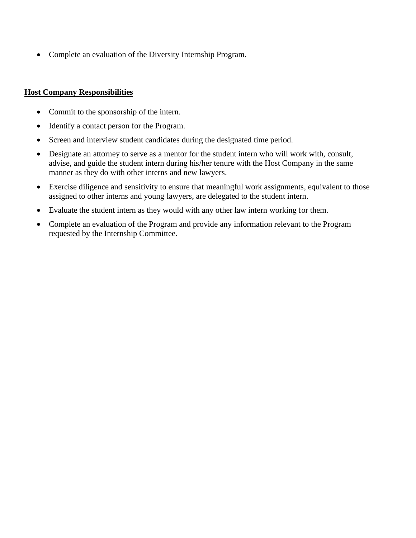• Complete an evaluation of the Diversity Internship Program.

### **Host Company Responsibilities**

- Commit to the sponsorship of the intern.
- Identify a contact person for the Program.
- Screen and interview student candidates during the designated time period.
- Designate an attorney to serve as a mentor for the student intern who will work with, consult, advise, and guide the student intern during his/her tenure with the Host Company in the same manner as they do with other interns and new lawyers.
- Exercise diligence and sensitivity to ensure that meaningful work assignments, equivalent to those assigned to other interns and young lawyers, are delegated to the student intern.
- Evaluate the student intern as they would with any other law intern working for them.
- Complete an evaluation of the Program and provide any information relevant to the Program requested by the Internship Committee.